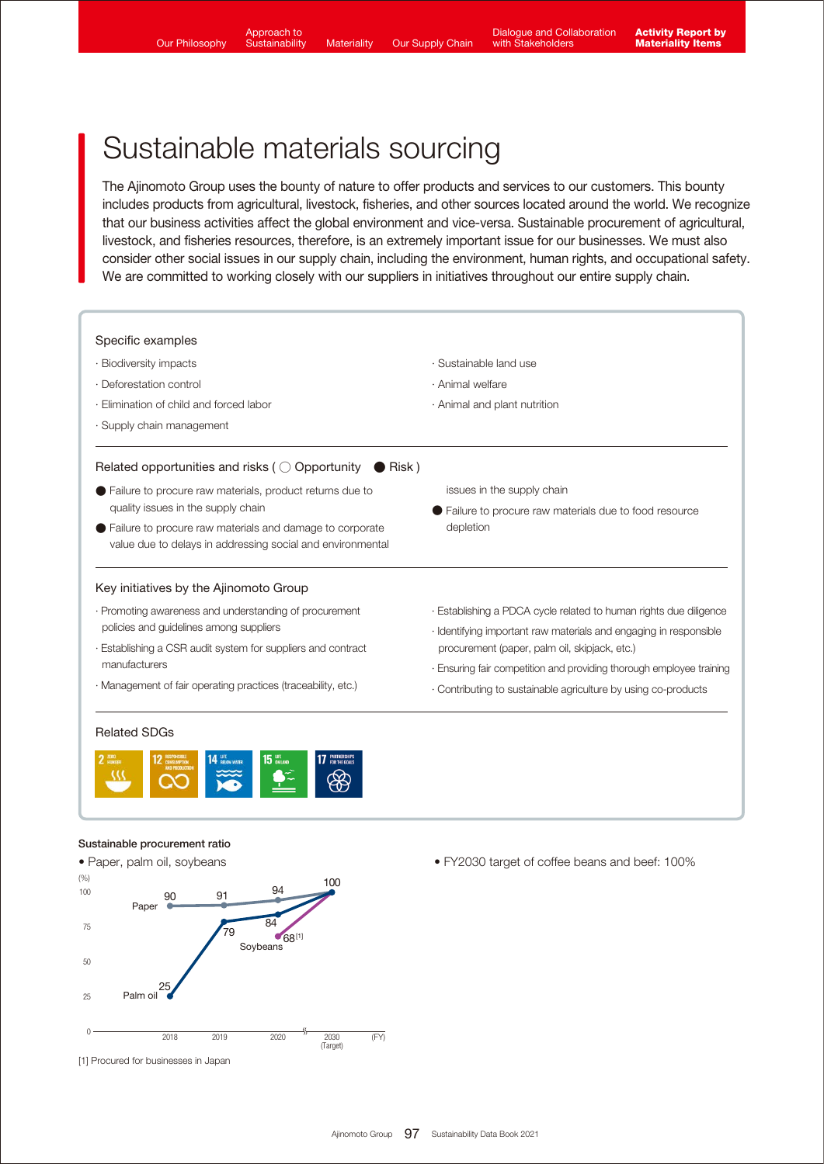2025 (FY)

 $78%$ 

50%reduction

Approach to **Sustainability** 

# Sustainable materials sourcing

The Ajinomoto Group uses the bounty of nature to offer products and services to our customers. This bounty includes products from agricultural, livestock, fisheries, and other sources located around the world. We recognize that our business activities affect the global environment and vice-versa. Sustainable procurement of agricultural, livestock, and fisheries resources, therefore, is an extremely important issue for our businesses. We must also consider other social issues in our supply chain, including the environment, human rights, and occupational safety. We are committed to working closely with our suppliers in initiatives throughout our entire supply chain.



2019 2020 2030 (FY)

Soybeans

.<br>79

852

 $\overline{84}$  $68^{[1]}$ 

(Target)

 $2018$ 

25

90

Paper

Palm oil

25

50

75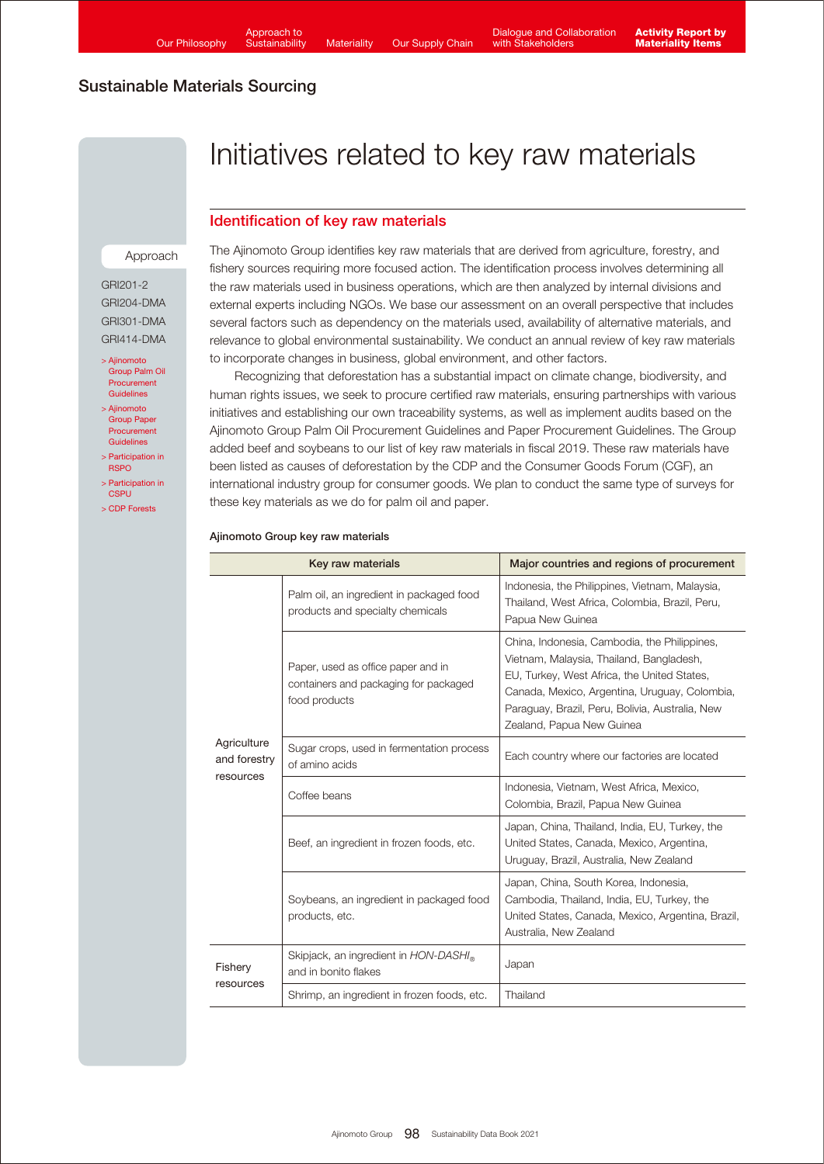# Initiatives related to key raw materials

## Identification of key raw materials

#### Approach

GRI201-2 GRI204-DMA GRI301-DMA GRI414-DMA

- > Ajinomoto [Group Palm Oil](https://www.ajinomoto.com/sustainability/agp/palm-oil-procurement-guidelines.php)  Procurement Guidelines
- > Ajinomoto [Group Paper](https://www.ajinomoto.com/sustainability/agp/paper-procurement-guidelines.php)  Procurement Guidelines
- [> Participation in](https://www.ajinomoto.co.jp/company/en/ir/esg/external-initiatives.html#multiColumn1-5)  **RSPO**
- [> Participation in](https://www.ajinomoto.co.jp/company/en/ir/esg/external-initiatives.html#multiColumn1-8)  **CSPU**
- [> CDP Forests](https://www.ajinomoto.com/sustainability/pdf/2021/Ajinomoto_CDP_Forests_2021.pdf)

The Ajinomoto Group identifies key raw materials that are derived from agriculture, forestry, and fishery sources requiring more focused action. The identification process involves determining all the raw materials used in business operations, which are then analyzed by internal divisions and external experts including NGOs. We base our assessment on an overall perspective that includes several factors such as dependency on the materials used, availability of alternative materials, and relevance to global environmental sustainability. We conduct an annual review of key raw materials to incorporate changes in business, global environment, and other factors.

 Recognizing that deforestation has a substantial impact on climate change, biodiversity, and human rights issues, we seek to procure certified raw materials, ensuring partnerships with various initiatives and establishing our own traceability systems, as well as implement audits based on the Ajinomoto Group Palm Oil Procurement Guidelines and Paper Procurement Guidelines. The Group added beef and soybeans to our list of key raw materials in fiscal 2019. These raw materials have been listed as causes of deforestation by the CDP and the Consumer Goods Forum (CGF), an international industry group for consumer goods. We plan to conduct the same type of surveys for these key materials as we do for palm oil and paper.

| Key raw materials                        |                                                                                              | Major countries and regions of procurement                                                                                                                                                                                                                               |
|------------------------------------------|----------------------------------------------------------------------------------------------|--------------------------------------------------------------------------------------------------------------------------------------------------------------------------------------------------------------------------------------------------------------------------|
| Agriculture<br>and forestry<br>resources | Palm oil, an ingredient in packaged food<br>products and specialty chemicals                 | Indonesia, the Philippines, Vietnam, Malaysia,<br>Thailand, West Africa, Colombia, Brazil, Peru,<br>Papua New Guinea                                                                                                                                                     |
|                                          | Paper, used as office paper and in<br>containers and packaging for packaged<br>food products | China, Indonesia, Cambodia, the Philippines,<br>Vietnam, Malaysia, Thailand, Bangladesh,<br>EU, Turkey, West Africa, the United States,<br>Canada, Mexico, Argentina, Uruguay, Colombia,<br>Paraguay, Brazil, Peru, Bolivia, Australia, New<br>Zealand, Papua New Guinea |
|                                          | Sugar crops, used in fermentation process<br>of amino acids                                  | Each country where our factories are located                                                                                                                                                                                                                             |
|                                          | Coffee beans                                                                                 | Indonesia, Vietnam, West Africa, Mexico,<br>Colombia, Brazil, Papua New Guinea                                                                                                                                                                                           |
|                                          | Beef, an ingredient in frozen foods, etc.                                                    | Japan, China, Thailand, India, EU, Turkey, the<br>United States, Canada, Mexico, Argentina,<br>Uruguay, Brazil, Australia, New Zealand                                                                                                                                   |
|                                          | Soybeans, an ingredient in packaged food<br>products, etc.                                   | Japan, China, South Korea, Indonesia,<br>Cambodia, Thailand, India, EU, Turkey, the<br>United States, Canada, Mexico, Argentina, Brazil,<br>Australia, New Zealand                                                                                                       |
| Fishery<br>resources                     | Skipjack, an ingredient in HON-DASHI <sub>®</sub><br>and in bonito flakes                    | Japan                                                                                                                                                                                                                                                                    |
|                                          | Shrimp, an ingredient in frozen foods, etc.                                                  | Thailand                                                                                                                                                                                                                                                                 |

#### Ajinomoto Group key raw materials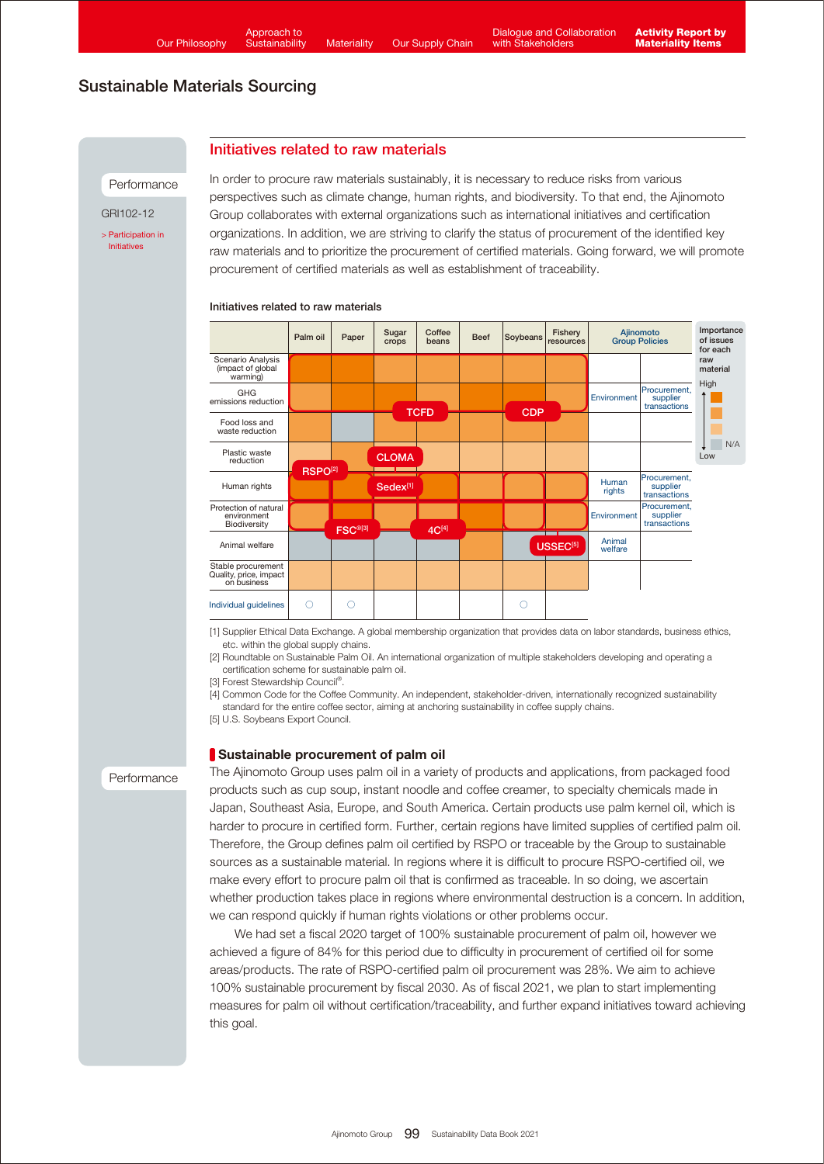### Initiatives related to raw materials

Performance

GRI102-12

[> Participation in](https://www.ajinomoto.co.jp/company/en/ir/esg/external-initiatives.html)  Initiatives

In order to procure raw materials sustainably, it is necessary to reduce risks from various perspectives such as climate change, human rights, and biodiversity. To that end, the Ajinomoto Group collaborates with external organizations such as international initiatives and certification organizations. In addition, we are striving to clarify the status of procurement of the identified key raw materials and to prioritize the procurement of certified materials. Going forward, we will promote procurement of certified materials as well as establishment of traceability.

#### Initiatives related to raw materials



[1] Supplier Ethical Data Exchange. A global membership organization that provides data on labor standards, business ethics, etc. within the global supply chains.

[2] Roundtable on Sustainable Palm Oil. An international organization of multiple stakeholders developing and operating a certification scheme for sustainable palm oil.

[3] Forest Stewardship Council®.

[4] Common Code for the Coffee Community. An independent, stakeholder-driven, internationally recognized sustainability standard for the entire coffee sector, aiming at anchoring sustainability in coffee supply chains.

[5] U.S. Soybeans Export Council.

#### Sustainable procurement of palm oil

Performance

The Ajinomoto Group uses palm oil in a variety of products and applications, from packaged food products such as cup soup, instant noodle and coffee creamer, to specialty chemicals made in Japan, Southeast Asia, Europe, and South America. Certain products use palm kernel oil, which is harder to procure in certified form. Further, certain regions have limited supplies of certified palm oil. Therefore, the Group defines palm oil certified by RSPO or traceable by the Group to sustainable sources as a sustainable material. In regions where it is difficult to procure RSPO-certified oil, we make every effort to procure palm oil that is confirmed as traceable. In so doing, we ascertain whether production takes place in regions where environmental destruction is a concern. In addition, we can respond quickly if human rights violations or other problems occur.

 We had set a fiscal 2020 target of 100% sustainable procurement of palm oil, however we achieved a figure of 84% for this period due to difficulty in procurement of certified oil for some areas/products. The rate of RSPO-certified palm oil procurement was 28%. We aim to achieve 100% sustainable procurement by fiscal 2030. As of fiscal 2021, we plan to start implementing measures for palm oil without certification/traceability, and further expand initiatives toward achieving this goal.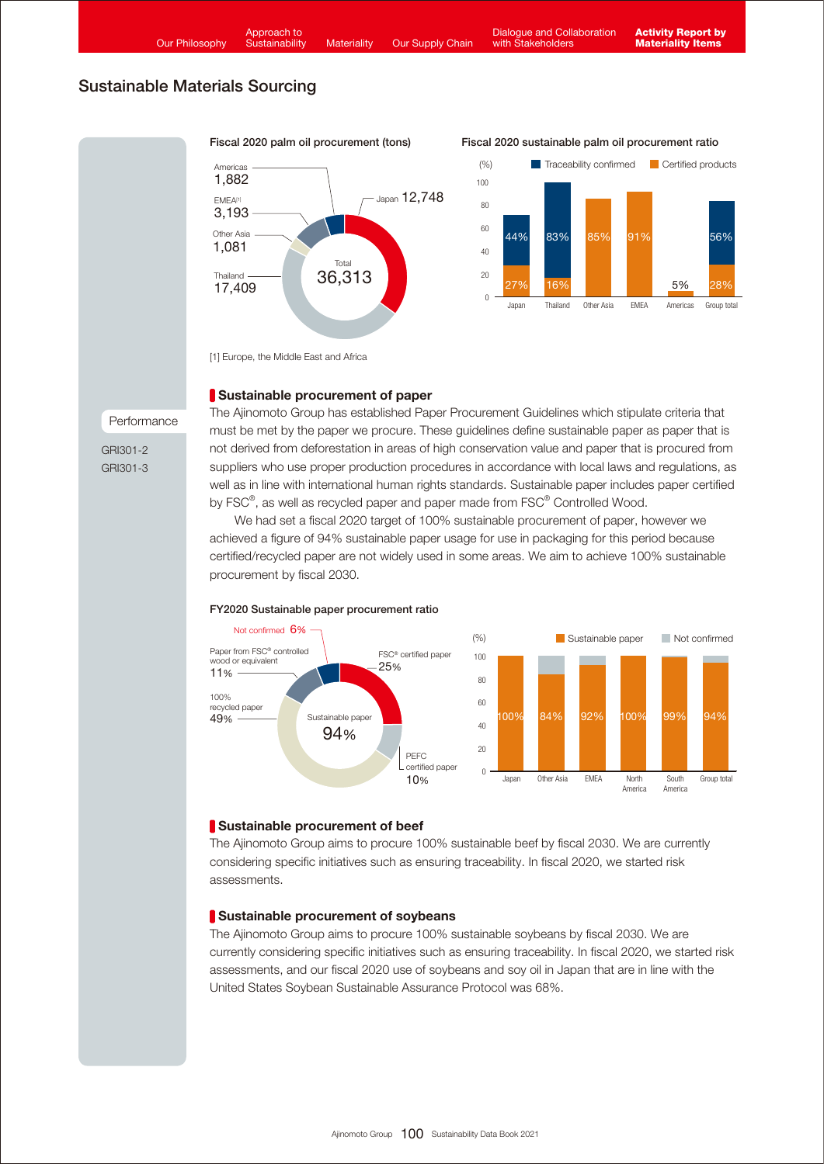

[1] Europe, the Middle East and Africa

## Sustainable procurement of paper

Performance

GRI301-2 GRI301-3 The Ajinomoto Group has established Paper Procurement Guidelines which stipulate criteria that must be met by the paper we procure. These guidelines define sustainable paper as paper that is not derived from deforestation in areas of high conservation value and paper that is procured from suppliers who use proper production procedures in accordance with local laws and regulations, as well as in line with international human rights standards. Sustainable paper includes paper certified by FSC<sup>®</sup>, as well as recycled paper and paper made from FSC<sup>®</sup> Controlled Wood.

 We had set a fiscal 2020 target of 100% sustainable procurement of paper, however we achieved a figure of 94% sustainable paper usage for use in packaging for this period because certified/recycled paper are not widely used in some areas. We aim to achieve 100% sustainable procurement by fiscal 2030.



#### FY2020 Sustainable paper procurement ratio

## Sustainable procurement of beef

The Ajinomoto Group aims to procure 100% sustainable beef by fiscal 2030. We are currently considering specific initiatives such as ensuring traceability. In fiscal 2020, we started risk assessments.

## Sustainable procurement of soybeans

The Ajinomoto Group aims to procure 100% sustainable soybeans by fiscal 2030. We are currently considering specific initiatives such as ensuring traceability. In fiscal 2020, we started risk assessments, and our fiscal 2020 use of soybeans and soy oil in Japan that are in line with the United States Soybean Sustainable Assurance Protocol was 68%.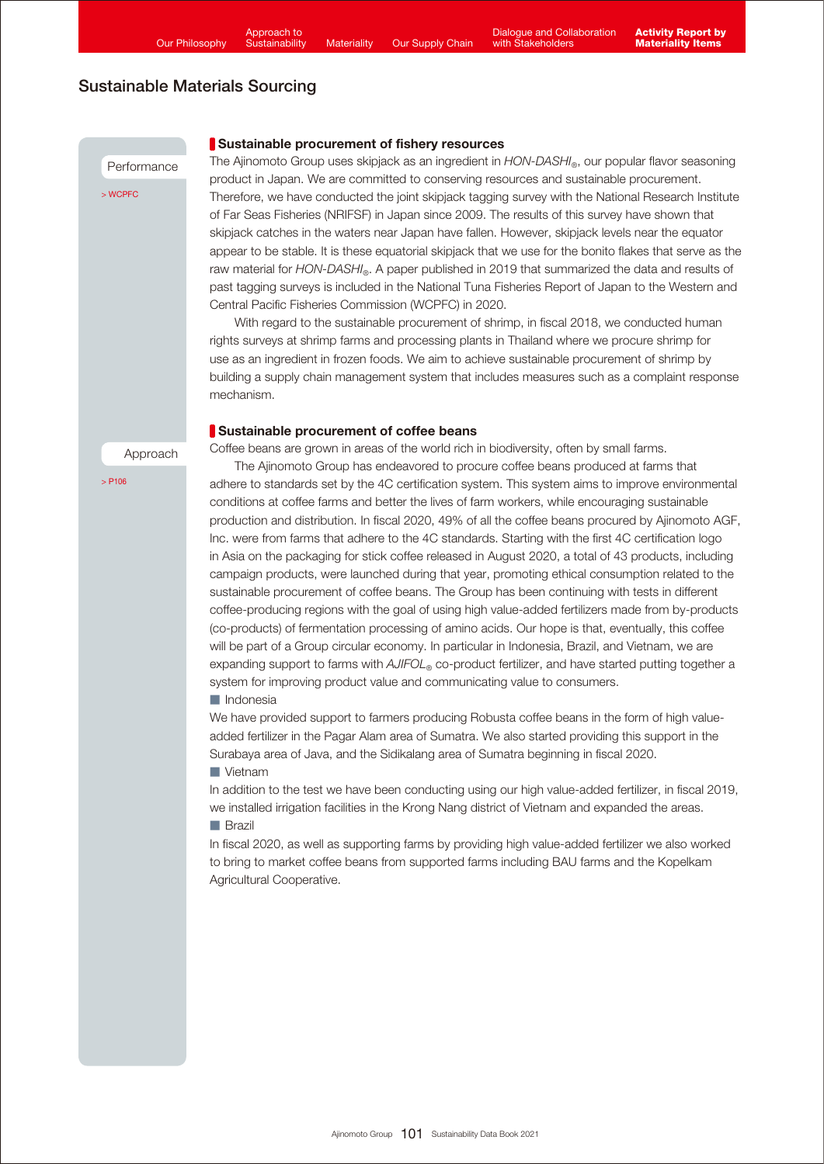Performance

[> WCPFC](https://www.wcpfc.int/)

### Sustainable procurement of fishery resources

The Ajinomoto Group uses skipjack as an ingredient in *HON-DASHI*®, our popular flavor seasoning product in Japan. We are committed to conserving resources and sustainable procurement. Therefore, we have conducted the joint skipjack tagging survey with the National Research Institute of Far Seas Fisheries (NRIFSF) in Japan since 2009. The results of this survey have shown that skipjack catches in the waters near Japan have fallen. However, skipjack levels near the equator appear to be stable. It is these equatorial skipiack that we use for the bonito flakes that serve as the raw material for *HON-DASHI*®. A paper published in 2019 that summarized the data and results of past tagging surveys is included in the National Tuna Fisheries Report of Japan to the Western and Central Pacific Fisheries Commission (WCPFC) in 2020.

 With regard to the sustainable procurement of shrimp, in fiscal 2018, we conducted human rights surveys at shrimp farms and processing plants in Thailand where we procure shrimp for use as an ingredient in frozen foods. We aim to achieve sustainable procurement of shrimp by building a supply chain management system that includes measures such as a complaint response mechanism.

#### Sustainable procurement of coffee beans

Coffee beans are grown in areas of the world rich in biodiversity, often by small farms.

 $>$  P<sub>106</sub>

Approach

 The Ajinomoto Group has endeavored to procure coffee beans produced at farms that adhere to standards set by the 4C certification system. This system aims to improve environmental conditions at coffee farms and better the lives of farm workers, while encouraging sustainable production and distribution. In fiscal 2020, 49% of all the coffee beans procured by Ajinomoto AGF, Inc. were from farms that adhere to the 4C standards. Starting with the first 4C certification logo in Asia on the packaging for stick coffee released in August 2020, a total of 43 products, including campaign products, were launched during that year, promoting ethical consumption related to the sustainable procurement of coffee beans. The Group has been continuing with tests in different coffee-producing regions with the goal of using high value-added fertilizers made from by-products (co-products) of fermentation processing of amino acids. Our hope is that, eventually, this coffee will be part of a Group circular economy. In particular in Indonesia, Brazil, and Vietnam, we are expanding support to farms with *AJIFOL*<sup>®</sup> co-product fertilizer, and have started putting together a system for improving product value and communicating value to consumers.

#### ■ Indonesia

We have provided support to farmers producing Robusta coffee beans in the form of high valueadded fertilizer in the Pagar Alam area of Sumatra. We also started providing this support in the Surabaya area of Java, and the Sidikalang area of Sumatra beginning in fiscal 2020.

#### ■ Vietnam

In addition to the test we have been conducting using our high value-added fertilizer, in fiscal 2019, we installed irrigation facilities in the Krong Nang district of Vietnam and expanded the areas. ■ Brazil

In fiscal 2020, as well as supporting farms by providing high value-added fertilizer we also worked to bring to market coffee beans from supported farms including BAU farms and the Kopelkam Agricultural Cooperative.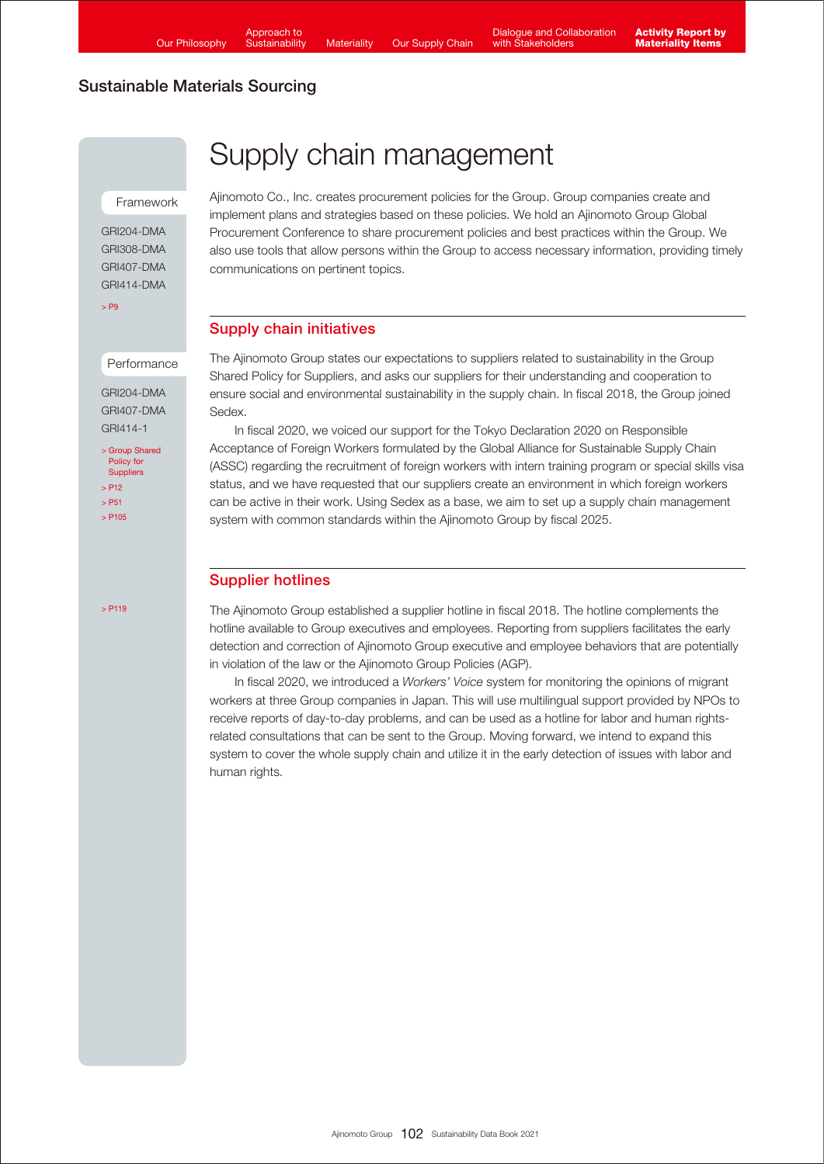Framework

GRI204-DMA GRI308-DMA GRI407-DMA GRI414-DMA

[> P9](https://www.ajinomoto.com/sustainability/pdf/2021/SDB2021en_management.pdf#page=7)

### **Performance**

GRI204-DMA GRI407-DMA GRI414-1

[> Group Shared](https://www.ajinomoto.com/sustainability/agp/suppliers.php) Policy for **Suppliers**  $\sim$  P<sub>12</sub> [> P51](https://www.ajinomoto.com/sustainability/pdf/2021/SDB2021en_safety.pdf#page=5)  $>$  P<sub>105</sub>

 $>$  P119

# Supply chain management

Ajinomoto Co., Inc. creates procurement policies for the Group. Group companies create and implement plans and strategies based on these policies. We hold an Ajinomoto Group Global Procurement Conference to share procurement policies and best practices within the Group. We also use tools that allow persons within the Group to access necessary information, providing timely communications on pertinent topics.

## Supply chain initiatives

The Ajinomoto Group states our expectations to suppliers related to sustainability in the Group Shared Policy for Suppliers, and asks our suppliers for their understanding and cooperation to ensure social and environmental sustainability in the supply chain. In fiscal 2018, the Group joined Sedex.

 In fiscal 2020, we voiced our support for the Tokyo Declaration 2020 on Responsible Acceptance of Foreign Workers formulated by the Global Alliance for Sustainable Supply Chain (ASSC) regarding the recruitment of foreign workers with intern training program or special skills visa status, and we have requested that our suppliers create an environment in which foreign workers can be active in their work. Using Sedex as a base, we aim to set up a supply chain management system with common standards within the Ajinomoto Group by fiscal 2025.

## Supplier hotlines

The Ajinomoto Group established a supplier hotline in fiscal 2018. The hotline complements the hotline available to Group executives and employees. Reporting from suppliers facilitates the early detection and correction of Ajinomoto Group executive and employee behaviors that are potentially in violation of the law or the Ajinomoto Group Policies (AGP).

 In fiscal 2020, we introduced a *Workers' Voice* system for monitoring the opinions of migrant workers at three Group companies in Japan. This will use multilingual support provided by NPOs to receive reports of day-to-day problems, and can be used as a hotline for labor and human rightsrelated consultations that can be sent to the Group. Moving forward, we intend to expand this system to cover the whole supply chain and utilize it in the early detection of issues with labor and human rights.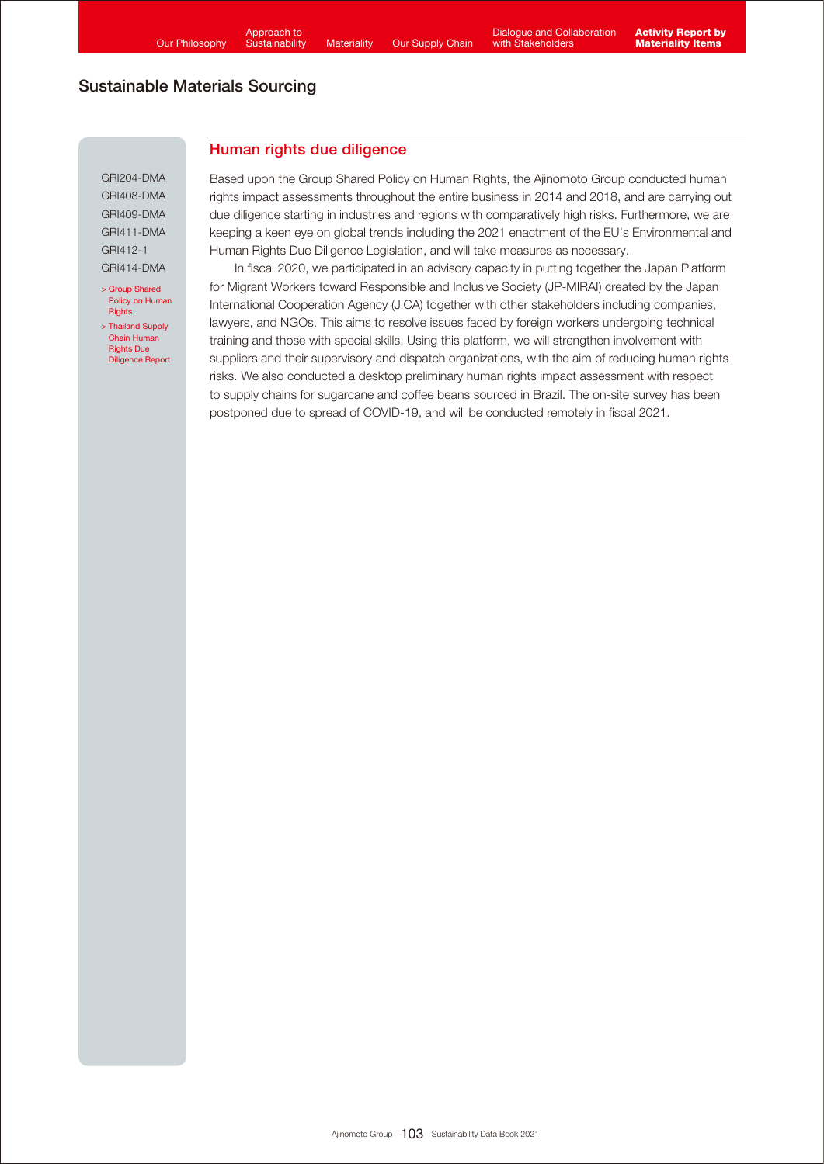Human rights due diligence

## Sustainable Materials Sourcing

GRI204-DMA GRI408-DMA GRI409-DMA GRI411-DMA GRI412-1 GRI414-DMA

> Group Shared [Policy on Human](https://www.ajinomoto.com/sustainability/agp/human-rights.php) **Rights** [> Thailand Supply](https://www.ajinomoto.com/sustainability/pdf/2019/ASSC_HRDD2019e.pdf) 

Chain Human Rights Due Diligence Report Based upon the Group Shared Policy on Human Rights, the Ajinomoto Group conducted human rights impact assessments throughout the entire business in 2014 and 2018, and are carrying out due diligence starting in industries and regions with comparatively high risks. Furthermore, we are keeping a keen eye on global trends including the 2021 enactment of the EU's Environmental and Human Rights Due Diligence Legislation, and will take measures as necessary.

 In fiscal 2020, we participated in an advisory capacity in putting together the Japan Platform for Migrant Workers toward Responsible and Inclusive Society (JP-MIRAI) created by the Japan International Cooperation Agency (JICA) together with other stakeholders including companies, lawyers, and NGOs. This aims to resolve issues faced by foreign workers undergoing technical training and those with special skills. Using this platform, we will strengthen involvement with suppliers and their supervisory and dispatch organizations, with the aim of reducing human rights risks. We also conducted a desktop preliminary human rights impact assessment with respect to supply chains for sugarcane and coffee beans sourced in Brazil. The on-site survey has been postponed due to spread of COVID-19, and will be conducted remotely in fiscal 2021.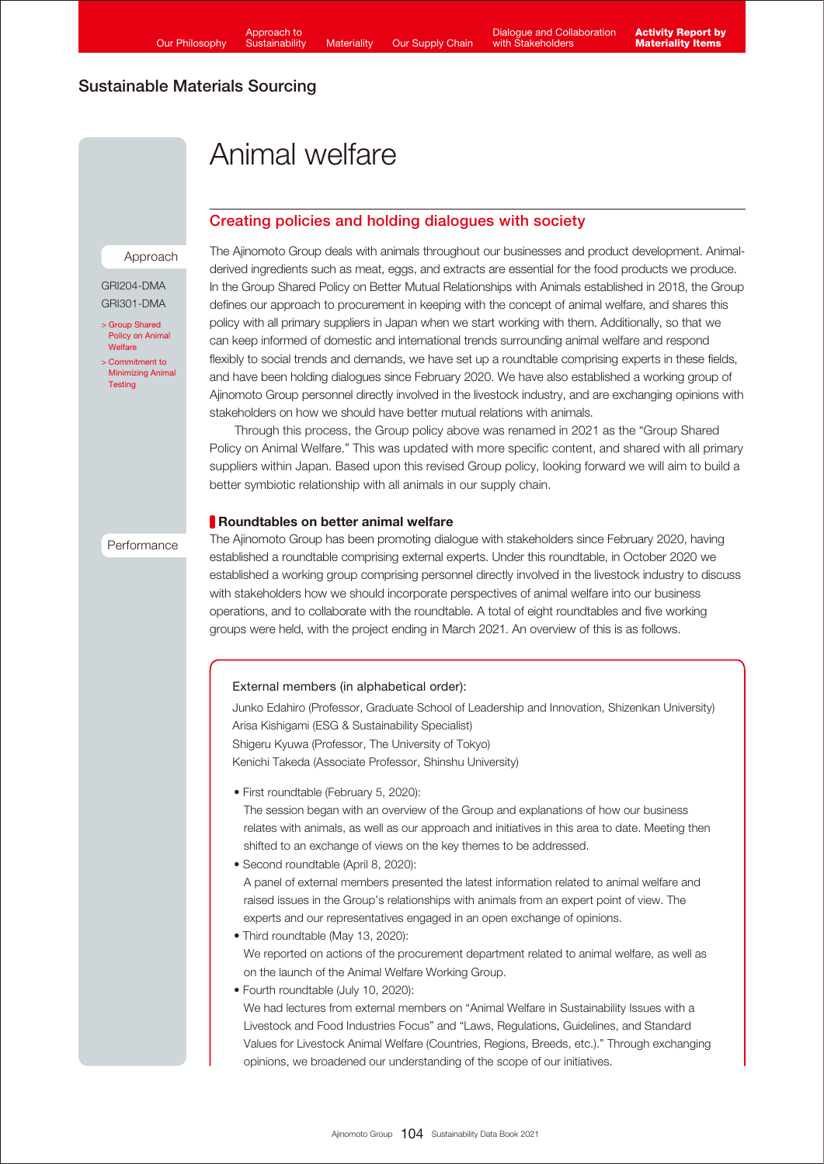# Animal welfare

## Creating policies and holding dialogues with society

### Approach

GRI204-DMA GRI301-DMA

[> Group Shared](https://www.ajinomoto.com/sustainability/agp/group-shared-policy-on-animal-welfare.php)  Policy on Animal **Welfare** 

[> Commitment to](https://www.ajinomoto.com/sustainability/materiality/animal_protection.php)  Minimizing Animal **Testing** 

Performance

The Ajinomoto Group deals with animals throughout our businesses and product development. Animalderived ingredients such as meat, eggs, and extracts are essential for the food products we produce. In the Group Shared Policy on Better Mutual Relationships with Animals established in 2018, the Group defines our approach to procurement in keeping with the concept of animal welfare, and shares this policy with all primary suppliers in Japan when we start working with them. Additionally, so that we can keep informed of domestic and international trends surrounding animal welfare and respond flexibly to social trends and demands, we have set up a roundtable comprising experts in these fields, and have been holding dialogues since February 2020. We have also established a working group of Ajinomoto Group personnel directly involved in the livestock industry, and are exchanging opinions with stakeholders on how we should have better mutual relations with animals.

 Through this process, the Group policy above was renamed in 2021 as the "Group Shared Policy on Animal Welfare." This was updated with more specific content, and shared with all primary suppliers within Japan. Based upon this revised Group policy, looking forward we will aim to build a better symbiotic relationship with all animals in our supply chain.

## Roundtables on better animal welfare

The Ajinomoto Group has been promoting dialogue with stakeholders since February 2020, having established a roundtable comprising external experts. Under this roundtable, in October 2020 we established a working group comprising personnel directly involved in the livestock industry to discuss with stakeholders how we should incorporate perspectives of animal welfare into our business operations, and to collaborate with the roundtable. A total of eight roundtables and five working groups were held, with the project ending in March 2021. An overview of this is as follows.

### External members (in alphabetical order):

Junko Edahiro (Professor, Graduate School of Leadership and Innovation, Shizenkan University) Arisa Kishigami (ESG & Sustainability Specialist) Shigeru Kyuwa (Professor, The University of Tokyo) Kenichi Takeda (Associate Professor, Shinshu University)

• First roundtable (February 5, 2020):

The session began with an overview of the Group and explanations of how our business relates with animals, as well as our approach and initiatives in this area to date. Meeting then shifted to an exchange of views on the key themes to be addressed.

• Second roundtable (April 8, 2020):

A panel of external members presented the latest information related to animal welfare and raised issues in the Group's relationships with animals from an expert point of view. The experts and our representatives engaged in an open exchange of opinions.

- Third roundtable (May 13, 2020): We reported on actions of the procurement department related to animal welfare, as well as on the launch of the Animal Welfare Working Group.
- Fourth roundtable (July 10, 2020):

We had lectures from external members on "Animal Welfare in Sustainability Issues with a Livestock and Food Industries Focus" and "Laws, Regulations, Guidelines, and Standard Values for Livestock Animal Welfare (Countries, Regions, Breeds, etc.)." Through exchanging opinions, we broadened our understanding of the scope of our initiatives.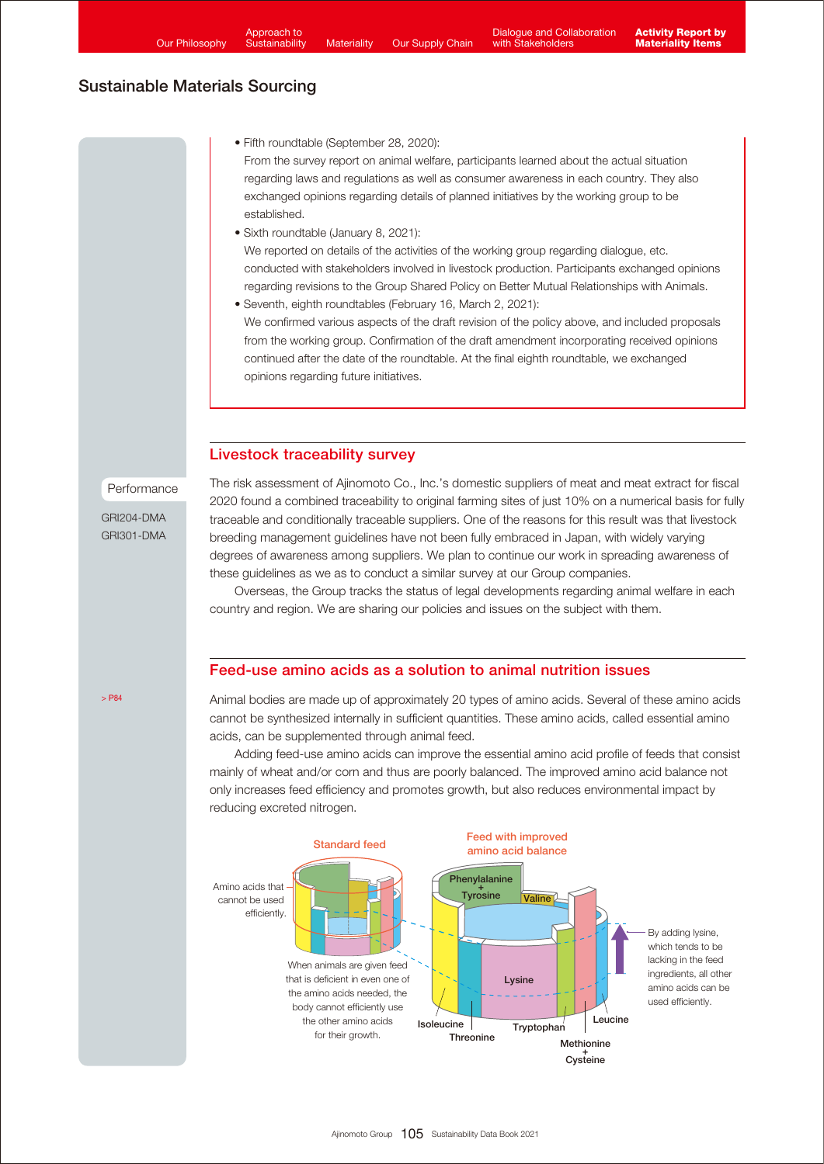<span id="page-8-0"></span>• Fifth roundtable (September 28, 2020):

From the survey report on animal welfare, participants learned about the actual situation regarding laws and regulations as well as consumer awareness in each country. They also exchanged opinions regarding details of planned initiatives by the working group to be established.

- Sixth roundtable (January 8, 2021): We reported on details of the activities of the working group regarding dialogue, etc. conducted with stakeholders involved in livestock production. Participants exchanged opinions regarding revisions to the Group Shared Policy on Better Mutual Relationships with Animals.
- Seventh, eighth roundtables (February 16, March 2, 2021): We confirmed various aspects of the draft revision of the policy above, and included proposals from the working group. Confirmation of the draft amendment incorporating received opinions continued after the date of the roundtable. At the final eighth roundtable, we exchanged opinions regarding future initiatives.

## Livestock traceability survey

Performance

GRI204-DMA GRI301-DMA The risk assessment of Ajinomoto Co., Inc.'s domestic suppliers of meat and meat extract for fiscal 2020 found a combined traceability to original farming sites of just 10% on a numerical basis for fully traceable and conditionally traceable suppliers. One of the reasons for this result was that livestock breeding management guidelines have not been fully embraced in Japan, with widely varying degrees of awareness among suppliers. We plan to continue our work in spreading awareness of these guidelines as we as to conduct a similar survey at our Group companies.

 Overseas, the Group tracks the status of legal developments regarding animal welfare in each country and region. We are sharing our policies and issues on the subject with them.

## Feed-use amino acids as a solution to animal nutrition issues

Animal bodies are made up of approximately 20 types of amino acids. Several of these amino acids cannot be synthesized internally in sufficient quantities. These amino acids, called essential amino acids, can be supplemented through animal feed.

 Adding feed-use amino acids can improve the essential amino acid profile of feeds that consist mainly of wheat and/or corn and thus are poorly balanced. The improved amino acid balance not only increases feed efficiency and promotes growth, but also reduces environmental impact by reducing excreted nitrogen.



 $\sim$  PR $_A$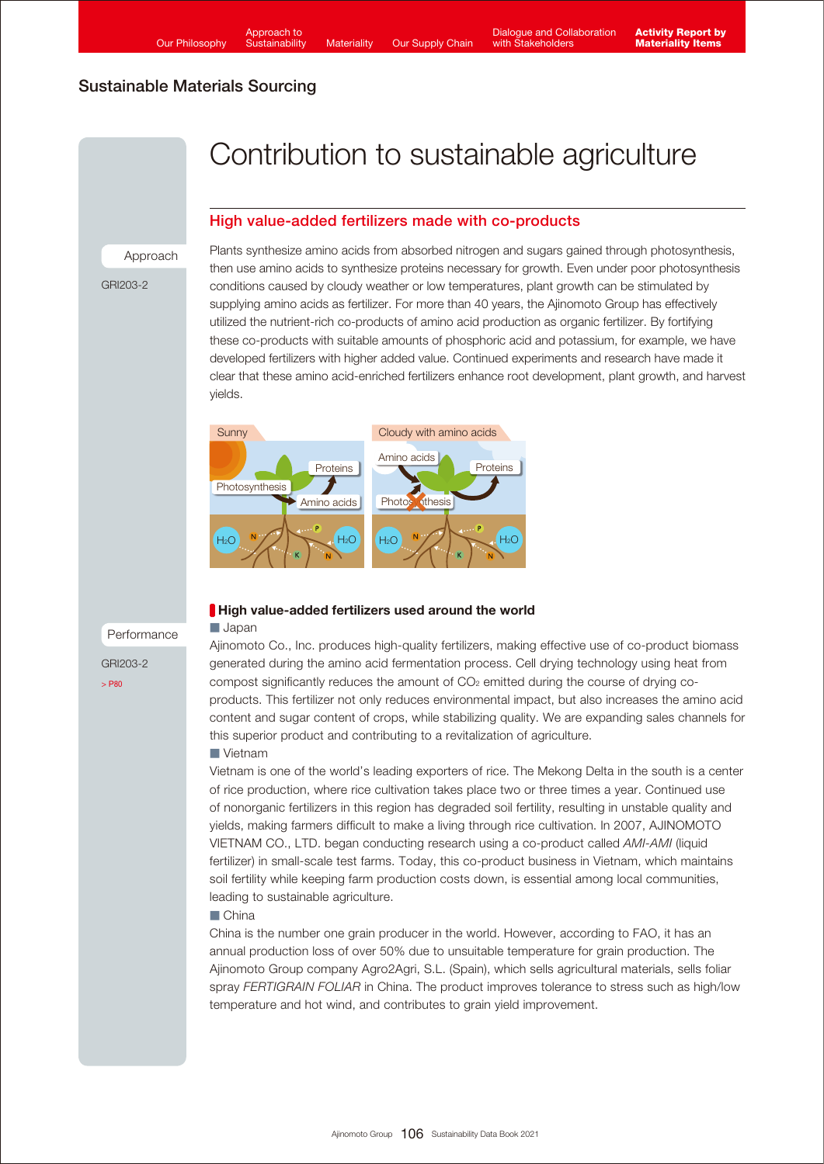# <span id="page-9-0"></span>Contribution to sustainable agriculture

## High value-added fertilizers made with co-products

Approach

GRI203-2

Plants synthesize amino acids from absorbed nitrogen and sugars gained through photosynthesis, then use amino acids to synthesize proteins necessary for growth. Even under poor photosynthesis conditions caused by cloudy weather or low temperatures, plant growth can be stimulated by supplying amino acids as fertilizer. For more than 40 years, the Ajinomoto Group has effectively utilized the nutrient-rich co-products of amino acid production as organic fertilizer. By fortifying these co-products with suitable amounts of phosphoric acid and potassium, for example, we have developed fertilizers with higher added value. Continued experiments and research have made it clear that these amino acid-enriched fertilizers enhance root development, plant growth, and harvest yields.



## Performance

GRI203-2

[> P80](https://www.ajinomoto.com/sustainability/pdf/2021/SDB2021en_climate.pdf#page=7)

## High value-added fertilizers used around the world

#### ■ Japan

Ajinomoto Co., Inc. produces high-quality fertilizers, making effective use of co-product biomass generated during the amino acid fermentation process. Cell drying technology using heat from compost significantly reduces the amount of  $CO<sub>2</sub>$  emitted during the course of drying coproducts. This fertilizer not only reduces environmental impact, but also increases the amino acid content and sugar content of crops, while stabilizing quality. We are expanding sales channels for this superior product and contributing to a revitalization of agriculture.

#### ■ Vietnam

Vietnam is one of the world's leading exporters of rice. The Mekong Delta in the south is a center of rice production, where rice cultivation takes place two or three times a year. Continued use of nonorganic fertilizers in this region has degraded soil fertility, resulting in unstable quality and yields, making farmers difficult to make a living through rice cultivation. In 2007, AJINOMOTO VIETNAM CO., LTD. began conducting research using a co-product called *AMI-AMI* (liquid fertilizer) in small-scale test farms. Today, this co-product business in Vietnam, which maintains soil fertility while keeping farm production costs down, is essential among local communities, leading to sustainable agriculture.

### ■ China

China is the number one grain producer in the world. However, according to FAO, it has an annual production loss of over 50% due to unsuitable temperature for grain production. The Ajinomoto Group company Agro2Agri, S.L. (Spain), which sells agricultural materials, sells foliar spray *FERTIGRAIN FOLIAR* in China. The product improves tolerance to stress such as high/low temperature and hot wind, and contributes to grain yield improvement.